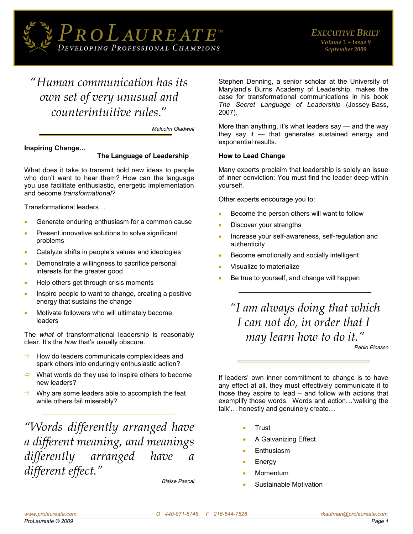

# "*Human communication has its own set of very unusual and counterintuitive rules*."

*Malcolm Gladwell* 

# **Inspiring Change…**

# **The Language of Leadership**

What does it take to transmit bold new ideas to people who don't want to hear them? How can the language you use facilitate enthusiastic, energetic implementation and become *transformational?* 

Transformational leaders…

- Generate enduring enthusiasm for a common cause
- Present innovative solutions to solve significant problems
- Catalyze shifts in people's values and ideologies
- Demonstrate a willingness to sacrifice personal interests for the greater good
- Help others get through crisis moments
- Inspire people to want to change, creating a positive energy that sustains the change
- Motivate followers who will ultimately become leaders

The *what* of transformational leadership is reasonably clear. It's the *how* that's usually obscure.

- How do leaders communicate complex ideas and spark others into enduringly enthusiastic action?
- $\Rightarrow$  What words do they use to inspire others to become new leaders?
- $\Rightarrow$  Why are some leaders able to accomplish the feat while others fail miserably?

*"Words differently arranged have a different meaning, and meanings differently arranged have a different effect."*

*[Blaise Pascal](http://www.worldofquotes.com/author/Blaise-Pascal/1/index.html)* 

Stephen Denning, a senior scholar at the University of Maryland's Burns Academy of Leadership, makes the case for transformational communications in his book *The Secret Language of Leadership* (Jossey-Bass, 2007).

More than anything, it's what leaders say — and the way they say it — that generates sustained energy and exponential results.

# **How to Lead Change**

Many experts proclaim that leadership is solely an issue of inner conviction: You must find the leader deep within yourself.

Other experts encourage you to:

- Become the person others will want to follow
- Discover your strengths
- Increase your self-awareness, self-regulation and authenticity
- Become emotionally and socially intelligent
- Visualize to materialize
- Be true to yourself, and change will happen

*"I am always doing that which I can not do, in order that I may learn how to do it."*

*[Pablo Picasso](http://www.wisdomquotes.com/000527.html)* 

If leaders' own inner commitment to change is to have any effect at all, they must effectively communicate it to those they aspire to lead – and follow with actions that exemplify those words. Words and action…'walking the talk'… honestly and genuinely create…

- Trust
- A Galvanizing Effect
- Enthusiasm
- Energy
- Momentum
- Sustainable Motivation